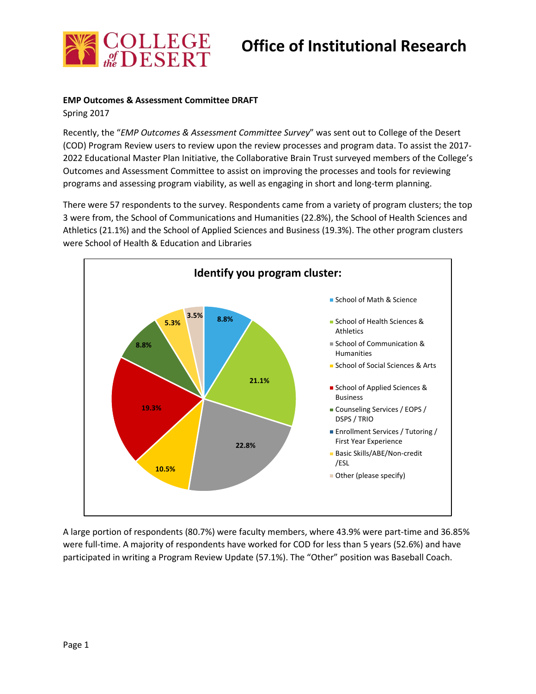

# **Office of Institutional Research**

### **EMP Outcomes & Assessment Committee DRAFT**

Spring 2017

Recently, the "*EMP Outcomes & Assessment Committee Survey*" was sent out to College of the Desert (COD) Program Review users to review upon the review processes and program data. To assist the 2017- 2022 Educational Master Plan Initiative, the Collaborative Brain Trust surveyed members of the College's Outcomes and Assessment Committee to assist on improving the processes and tools for reviewing programs and assessing program viability, as well as engaging in short and long-term planning.

There were 57 respondents to the survey. Respondents came from a variety of program clusters; the top 3 were from, the School of Communications and Humanities (22.8%), the School of Health Sciences and Athletics (21.1%) and the School of Applied Sciences and Business (19.3%). The other program clusters were School of Health & Education and Libraries



A large portion of respondents (80.7%) were faculty members, where 43.9% were part-time and 36.85% were full-time. A majority of respondents have worked for COD for less than 5 years (52.6%) and have participated in writing a Program Review Update (57.1%). The "Other" position was Baseball Coach.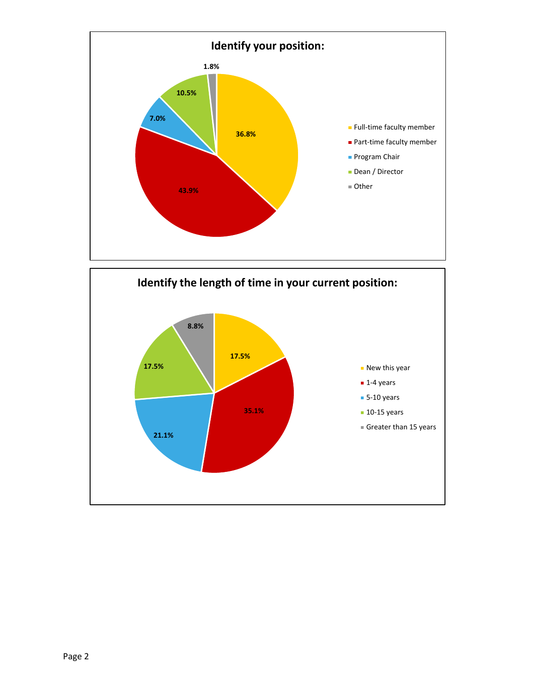

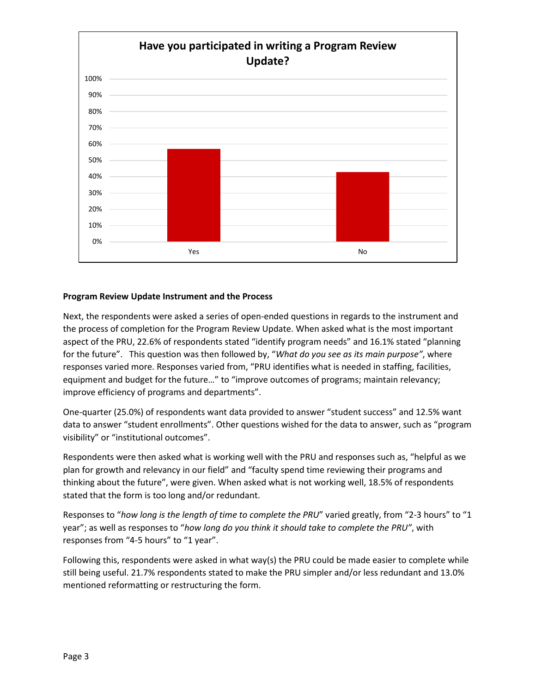

### **Program Review Update Instrument and the Process**

Next, the respondents were asked a series of open-ended questions in regards to the instrument and the process of completion for the Program Review Update. When asked what is the most important aspect of the PRU, 22.6% of respondents stated "identify program needs" and 16.1% stated "planning for the future". This question was then followed by, "*What do you see as its main purpose"*, where responses varied more. Responses varied from, "PRU identifies what is needed in staffing, facilities, equipment and budget for the future…" to "improve outcomes of programs; maintain relevancy; improve efficiency of programs and departments".

One-quarter (25.0%) of respondents want data provided to answer "student success" and 12.5% want data to answer "student enrollments". Other questions wished for the data to answer, such as "program visibility" or "institutional outcomes".

Respondents were then asked what is working well with the PRU and responses such as, "helpful as we plan for growth and relevancy in our field" and "faculty spend time reviewing their programs and thinking about the future", were given. When asked what is not working well, 18.5% of respondents stated that the form is too long and/or redundant.

Responses to "*how long is the length of time to complete the PRU*" varied greatly, from "2-3 hours" to "1 year"; as well as responses to "*how long do you think it should take to complete the PRU"*, with responses from "4-5 hours" to "1 year".

Following this, respondents were asked in what way(s) the PRU could be made easier to complete while still being useful. 21.7% respondents stated to make the PRU simpler and/or less redundant and 13.0% mentioned reformatting or restructuring the form.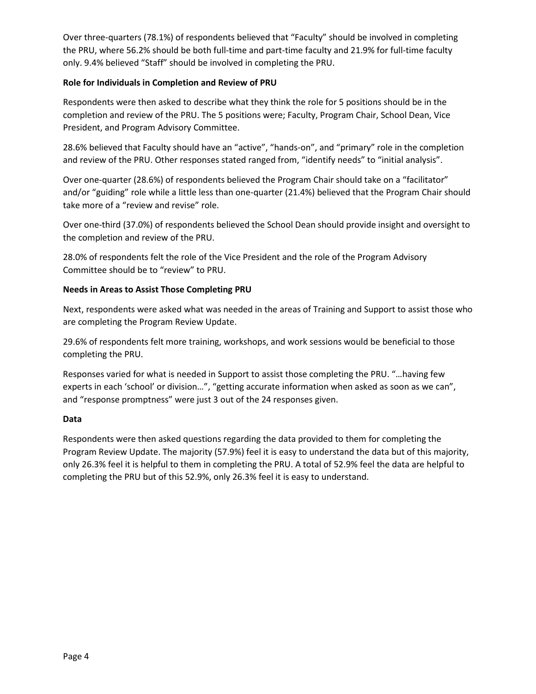Over three-quarters (78.1%) of respondents believed that "Faculty" should be involved in completing the PRU, where 56.2% should be both full-time and part-time faculty and 21.9% for full-time faculty only. 9.4% believed "Staff" should be involved in completing the PRU.

## **Role for Individuals in Completion and Review of PRU**

Respondents were then asked to describe what they think the role for 5 positions should be in the completion and review of the PRU. The 5 positions were; Faculty, Program Chair, School Dean, Vice President, and Program Advisory Committee.

28.6% believed that Faculty should have an "active", "hands-on", and "primary" role in the completion and review of the PRU. Other responses stated ranged from, "identify needs" to "initial analysis".

Over one-quarter (28.6%) of respondents believed the Program Chair should take on a "facilitator" and/or "guiding" role while a little less than one-quarter (21.4%) believed that the Program Chair should take more of a "review and revise" role.

Over one-third (37.0%) of respondents believed the School Dean should provide insight and oversight to the completion and review of the PRU.

28.0% of respondents felt the role of the Vice President and the role of the Program Advisory Committee should be to "review" to PRU.

## **Needs in Areas to Assist Those Completing PRU**

Next, respondents were asked what was needed in the areas of Training and Support to assist those who are completing the Program Review Update.

29.6% of respondents felt more training, workshops, and work sessions would be beneficial to those completing the PRU.

Responses varied for what is needed in Support to assist those completing the PRU. "…having few experts in each 'school' or division…", "getting accurate information when asked as soon as we can", and "response promptness" were just 3 out of the 24 responses given.

### **Data**

Respondents were then asked questions regarding the data provided to them for completing the Program Review Update. The majority (57.9%) feel it is easy to understand the data but of this majority, only 26.3% feel it is helpful to them in completing the PRU. A total of 52.9% feel the data are helpful to completing the PRU but of this 52.9%, only 26.3% feel it is easy to understand.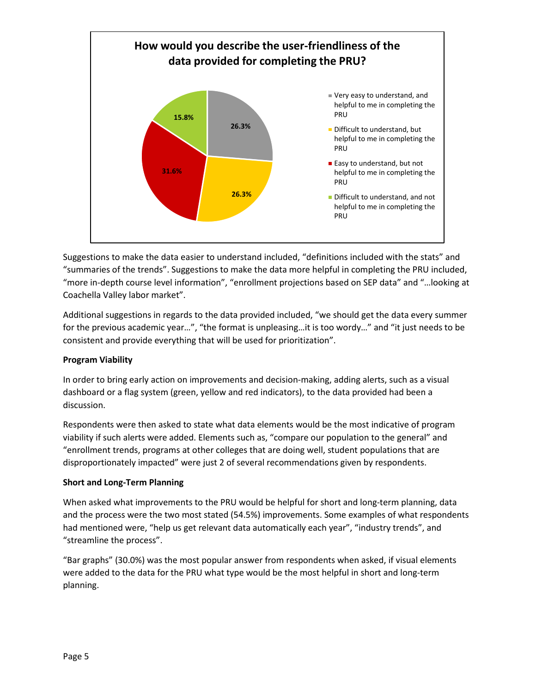

Suggestions to make the data easier to understand included, "definitions included with the stats" and "summaries of the trends". Suggestions to make the data more helpful in completing the PRU included, "more in-depth course level information", "enrollment projections based on SEP data" and "…looking at Coachella Valley labor market".

Additional suggestions in regards to the data provided included, "we should get the data every summer for the previous academic year…", "the format is unpleasing…it is too wordy…" and "it just needs to be consistent and provide everything that will be used for prioritization".

# **Program Viability**

In order to bring early action on improvements and decision-making, adding alerts, such as a visual dashboard or a flag system (green, yellow and red indicators), to the data provided had been a discussion.

Respondents were then asked to state what data elements would be the most indicative of program viability if such alerts were added. Elements such as, "compare our population to the general" and "enrollment trends, programs at other colleges that are doing well, student populations that are disproportionately impacted" were just 2 of several recommendations given by respondents.

# **Short and Long-Term Planning**

When asked what improvements to the PRU would be helpful for short and long-term planning, data and the process were the two most stated (54.5%) improvements. Some examples of what respondents had mentioned were, "help us get relevant data automatically each year", "industry trends", and "streamline the process".

"Bar graphs" (30.0%) was the most popular answer from respondents when asked, if visual elements were added to the data for the PRU what type would be the most helpful in short and long-term planning.